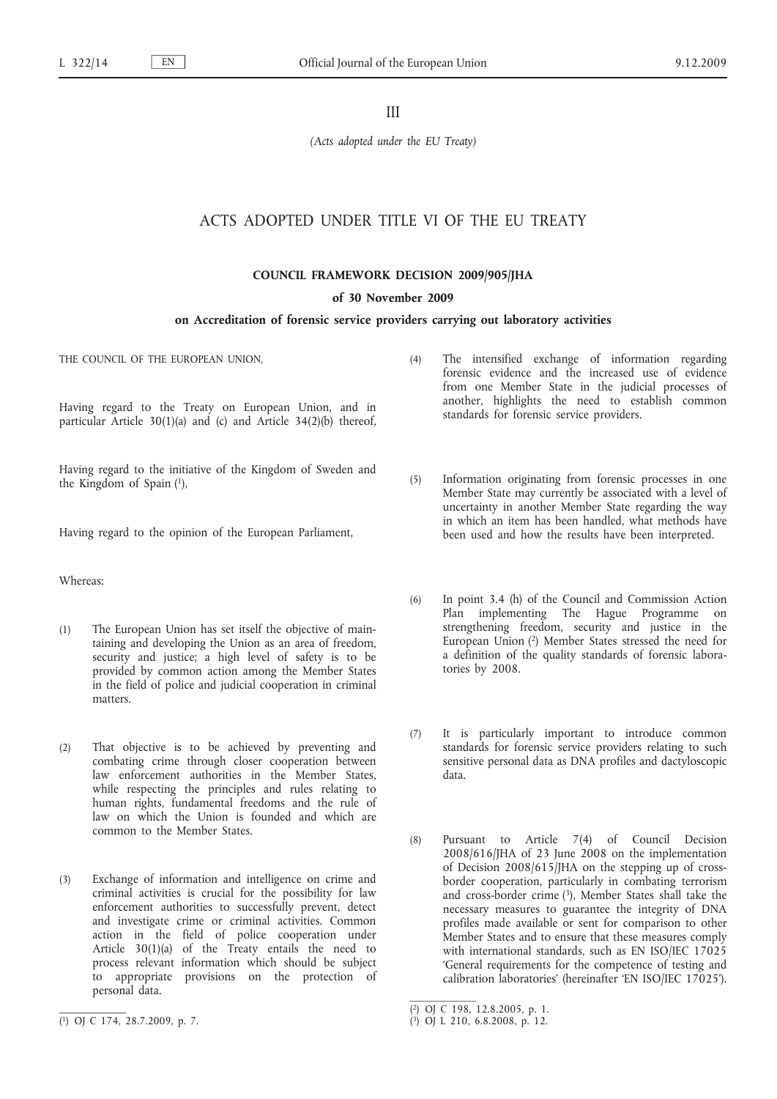III

*(Acts adopted under the EU Treaty)*

# ACTS ADOPTED UNDER TITLE VI OF THE EU TREATY

**COUNCIL FRAMEWORK DECISION 2009/905/JHA**

**of 30 November 2009**

# **on Accreditation of forensic service providers carrying out laboratory activities**

THE COUNCIL OF THE EUROPEAN UNION,

Having regard to the Treaty on European Union, and in particular Article 30(1)(a) and (c) and Article 34(2)(b) thereof,

Having regard to the initiative of the Kingdom of Sweden and the Kingdom of Spain (1),

Having regard to the opinion of the European Parliament,

Whereas:

- (1) The European Union has set itself the objective of maintaining and developing the Union as an area of freedom, security and justice; a high level of safety is to be provided by common action among the Member States in the field of police and judicial cooperation in criminal matters.
- (2) That objective is to be achieved by preventing and combating crime through closer cooperation between law enforcement authorities in the Member States, while respecting the principles and rules relating to human rights, fundamental freedoms and the rule of law on which the Union is founded and which are common to the Member States.
- (3) Exchange of information and intelligence on crime and criminal activities is crucial for the possibility for law enforcement authorities to successfully prevent, detect and investigate crime or criminal activities. Common action in the field of police cooperation under Article 30(1)(a) of the Treaty entails the need to process relevant information which should be subject to appropriate provisions on the protection of personal data.
- (4) The intensified exchange of information regarding forensic evidence and the increased use of evidence from one Member State in the judicial processes of another, highlights the need to establish common standards for forensic service providers.
- (5) Information originating from forensic processes in one Member State may currently be associated with a level of uncertainty in another Member State regarding the way in which an item has been handled, what methods have been used and how the results have been interpreted.
- (6) In point 3.4 (h) of the Council and Commission Action Plan implementing The Hague Programme on strengthening freedom, security and justice in the European Union (2) Member States stressed the need for a definition of the quality standards of forensic laboratories by 2008.
- (7) It is particularly important to introduce common standards for forensic service providers relating to such sensitive personal data as DNA profiles and dactyloscopic data.
- (8) Pursuant to Article 7(4) of Council Decision 2008/616/JHA of 23 June 2008 on the implementation of Decision 2008/615/JHA on the stepping up of crossborder cooperation, particularly in combating terrorism and cross-border crime (3), Member States shall take the necessary measures to guarantee the integrity of DNA profiles made available or sent for comparison to other Member States and to ensure that these measures comply with international standards, such as EN ISO/IEC 17025 'General requirements for the competence of testing and calibration laboratories' (hereinafter 'EN ISO/IEC 17025').

<sup>(</sup> 1) OJ C 174, 28.7.2009, p. 7.

<sup>(</sup> 2) OJ C 198, 12.8.2005, p. 1.

<sup>(</sup> 3) OJ L 210, 6.8.2008, p. 12.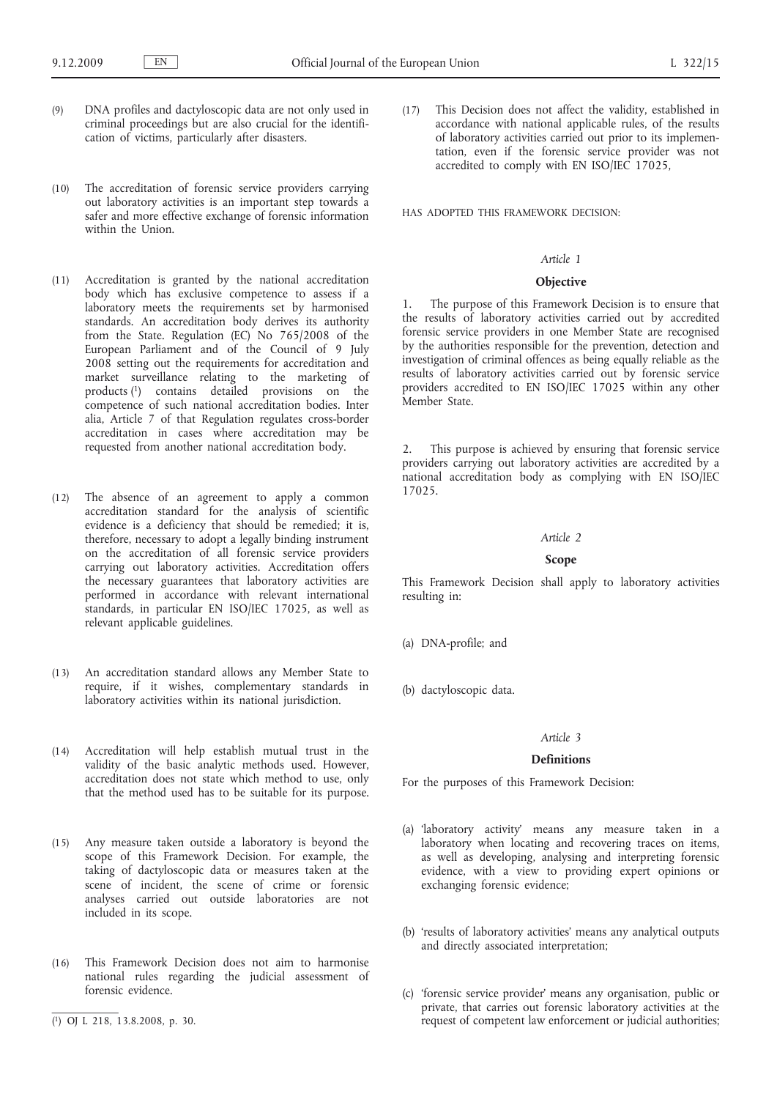- (9) DNA profiles and dactyloscopic data are not only used in criminal proceedings but are also crucial for the identification of victims, particularly after disasters.
- (10) The accreditation of forensic service providers carrying out laboratory activities is an important step towards a safer and more effective exchange of forensic information within the Union.
- (11) Accreditation is granted by the national accreditation body which has exclusive competence to assess if a laboratory meets the requirements set by harmonised standards. An accreditation body derives its authority from the State. Regulation (EC) No 765/2008 of the European Parliament and of the Council of 9 July 2008 setting out the requirements for accreditation and market surveillance relating to the marketing of products (1) contains detailed provisions on the competence of such national accreditation bodies. Inter alia, Article 7 of that Regulation regulates cross-border accreditation in cases where accreditation may be requested from another national accreditation body.
- (12) The absence of an agreement to apply a common accreditation standard for the analysis of scientific evidence is a deficiency that should be remedied; it is, therefore, necessary to adopt a legally binding instrument on the accreditation of all forensic service providers carrying out laboratory activities. Accreditation offers the necessary guarantees that laboratory activities are performed in accordance with relevant international standards, in particular EN ISO/IEC 17025, as well as relevant applicable guidelines.
- (13) An accreditation standard allows any Member State to require, if it wishes, complementary standards in laboratory activities within its national jurisdiction.
- (14) Accreditation will help establish mutual trust in the validity of the basic analytic methods used. However, accreditation does not state which method to use, only that the method used has to be suitable for its purpose.
- (15) Any measure taken outside a laboratory is beyond the scope of this Framework Decision. For example, the taking of dactyloscopic data or measures taken at the scene of incident, the scene of crime or forensic analyses carried out outside laboratories are not included in its scope.
- (16) This Framework Decision does not aim to harmonise national rules regarding the judicial assessment of forensic evidence.
- ( 1) OJ L 218, 13.8.2008, p. 30.

(17) This Decision does not affect the validity, established in accordance with national applicable rules, of the results of laboratory activities carried out prior to its implementation, even if the forensic service provider was not accredited to comply with EN ISO/IEC 17025,

HAS ADOPTED THIS FRAMEWORK DECISION:

#### *Article 1*

### **Objective**

1. The purpose of this Framework Decision is to ensure that the results of laboratory activities carried out by accredited forensic service providers in one Member State are recognised by the authorities responsible for the prevention, detection and investigation of criminal offences as being equally reliable as the results of laboratory activities carried out by forensic service providers accredited to EN ISO/IEC 17025 within any other Member State.

2. This purpose is achieved by ensuring that forensic service providers carrying out laboratory activities are accredited by a national accreditation body as complying with EN ISO/IEC 17025.

#### *Article 2*

## **Scope**

This Framework Decision shall apply to laboratory activities resulting in:

(a) DNA-profile; and

(b) dactyloscopic data.

# *Article 3*

#### **Definitions**

For the purposes of this Framework Decision:

- (a) 'laboratory activity' means any measure taken in a laboratory when locating and recovering traces on items, as well as developing, analysing and interpreting forensic evidence, with a view to providing expert opinions or exchanging forensic evidence;
- (b) 'results of laboratory activities' means any analytical outputs and directly associated interpretation;
- (c) 'forensic service provider' means any organisation, public or private, that carries out forensic laboratory activities at the request of competent law enforcement or judicial authorities;